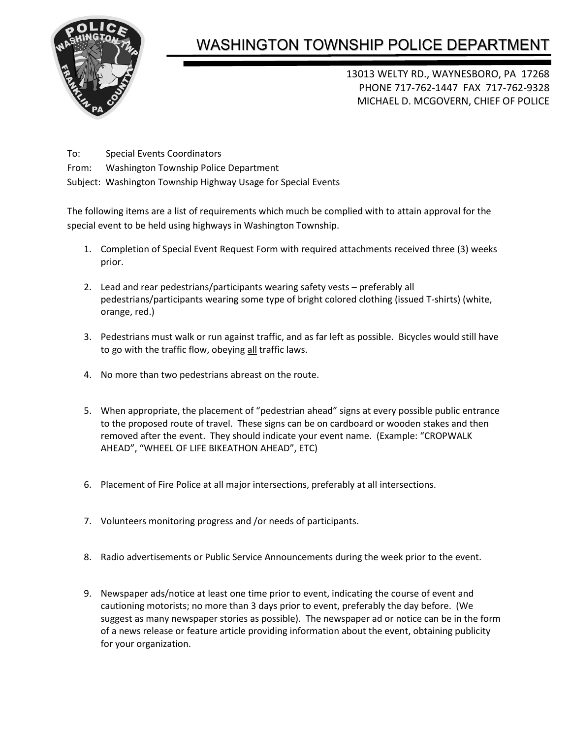

## WASHINGTON TOWNSHIP POLICE DEPARTMENT

13013 WELTY RD., WAYNESBORO, PA 17268 PHONE 717-762-1447 FAX 717-762-9328 MICHAEL D. MCGOVERN, CHIEF OF POLICE

- To: Special Events Coordinators
- From: Washington Township Police Department
- Subject: Washington Township Highway Usage for Special Events

The following items are a list of requirements which much be complied with to attain approval for the special event to be held using highways in Washington Township.

- 1. Completion of Special Event Request Form with required attachments received three (3) weeks prior.
- 2. Lead and rear pedestrians/participants wearing safety vests preferably all pedestrians/participants wearing some type of bright colored clothing (issued T-shirts) (white, orange, red.)
- 3. Pedestrians must walk or run against traffic, and as far left as possible. Bicycles would still have to go with the traffic flow, obeying all traffic laws.
- 4. No more than two pedestrians abreast on the route.
- 5. When appropriate, the placement of "pedestrian ahead" signs at every possible public entrance to the proposed route of travel. These signs can be on cardboard or wooden stakes and then removed after the event. They should indicate your event name. (Example: "CROPWALK AHEAD", "WHEEL OF LIFE BIKEATHON AHEAD", ETC)
- 6. Placement of Fire Police at all major intersections, preferably at all intersections.
- 7. Volunteers monitoring progress and /or needs of participants.
- 8. Radio advertisements or Public Service Announcements during the week prior to the event.
- 9. Newspaper ads/notice at least one time prior to event, indicating the course of event and cautioning motorists; no more than 3 days prior to event, preferably the day before. (We suggest as many newspaper stories as possible). The newspaper ad or notice can be in the form of a news release or feature article providing information about the event, obtaining publicity for your organization.